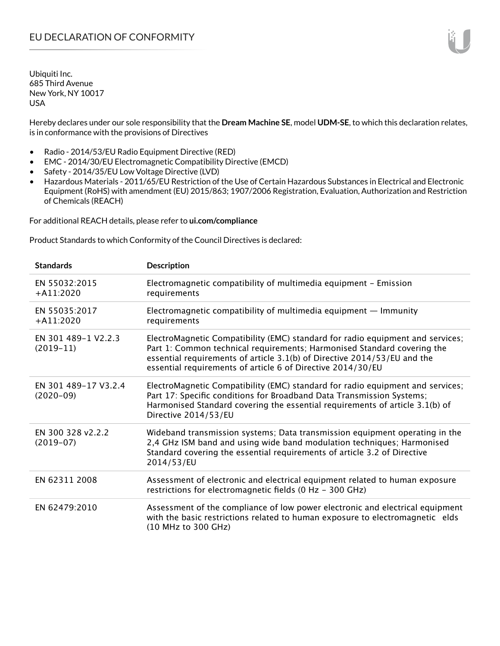Hereby declares under our sole responsibility that the **Dream Machine SE**, model **UDM-SE**, to which this declaration relates, is in conformance with the provisions of Directives

- Radio 2014/53/EU Radio Equipment Directive (RED)
- EMC 2014/30/EU Electromagnetic Compatibility Directive (EMCD)
- Safety 2014/35/EU Low Voltage Directive (LVD)
- Hazardous Materials 2011/65/EU Restriction of the Use of Certain Hazardous Substances in Electrical and Electronic Equipment (RoHS) with amendment (EU) 2015/863; 1907/2006 Registration, Evaluation, Authorization and Restriction of Chemicals (REACH)

For additional REACH details, please refer to **ui.com/compliance**

Product Standards to which Conformity of the Council Directives is declared:

| <b>Standards</b>                    | <b>Description</b>                                                                                                                                                                                                                                                                                   |
|-------------------------------------|------------------------------------------------------------------------------------------------------------------------------------------------------------------------------------------------------------------------------------------------------------------------------------------------------|
| EN 55032:2015<br>$+A11:2020$        | Electromagnetic compatibility of multimedia equipment - Emission<br>requirements                                                                                                                                                                                                                     |
| EN 55035:2017<br>$+$ A11:2020       | Electromagnetic compatibility of multimedia equipment $-$ Immunity<br>requirements                                                                                                                                                                                                                   |
| EN 301 489-1 V2.2.3<br>$(2019-11)$  | ElectroMagnetic Compatibility (EMC) standard for radio equipment and services;<br>Part 1: Common technical requirements; Harmonised Standard covering the<br>essential requirements of article 3.1(b) of Directive 2014/53/EU and the<br>essential requirements of article 6 of Directive 2014/30/EU |
| EN 301 489-17 V3.2.4<br>$(2020-09)$ | ElectroMagnetic Compatibility (EMC) standard for radio equipment and services;<br>Part 17: Specific conditions for Broadband Data Transmission Systems;<br>Harmonised Standard covering the essential requirements of article 3.1(b) of<br>Directive 2014/53/EU                                      |
| EN 300 328 v2.2.2<br>$(2019-07)$    | Wideband transmission systems; Data transmission equipment operating in the<br>2,4 GHz ISM band and using wide band modulation techniques; Harmonised<br>Standard covering the essential requirements of article 3.2 of Directive<br>2014/53/EU                                                      |
| EN 62311 2008                       | Assessment of electronic and electrical equipment related to human exposure<br>restrictions for electromagnetic fields (0 Hz - 300 GHz)                                                                                                                                                              |
| EN 62479:2010                       | Assessment of the compliance of low power electronic and electrical equipment<br>with the basic restrictions related to human exposure to electromagnetic elds<br>(10 MHz to 300 GHz)                                                                                                                |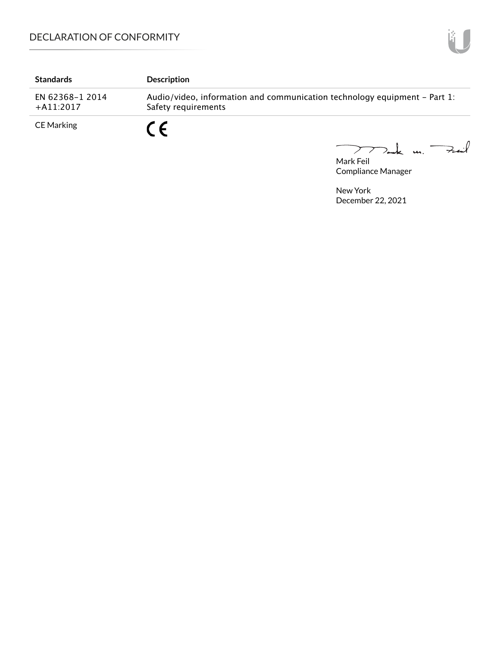| <b>Standards</b>               | <b>Description</b>                                                                               |
|--------------------------------|--------------------------------------------------------------------------------------------------|
| EN 62368-1 2014<br>$+A11:2017$ | Audio/video, information and communication technology equipment – Part 1:<br>Safety requirements |
| CE Marking                     | r c                                                                                              |

Mark Feil<br>Mark Feil

Compliance Manager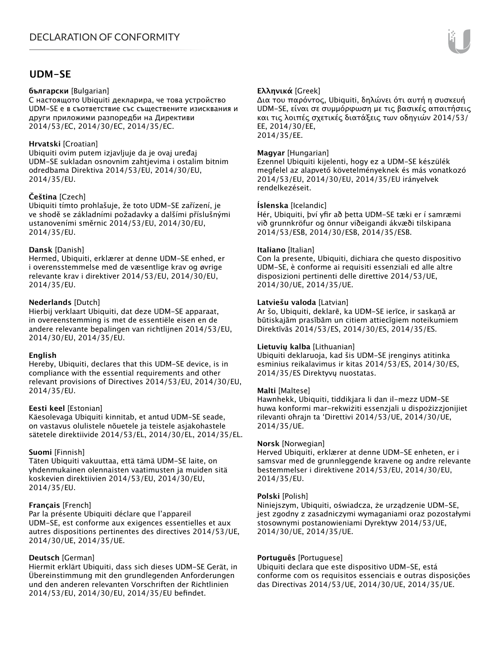# **UDM-SE**

#### **български** [Bulgarian]

С настоящото Ubiquiti декларира, че това устройство UDM-SE е в съответствие със съществените изисквания и други приложими разпоредби на Директиви 2014/53/EC, 2014/30/ЕС, 2014/35/ЕС.

## **Hrvatski** [Croatian]

Ubiquiti ovim putem izjavljuje da je ovaj uređaj UDM-SE sukladan osnovnim zahtjevima i ostalim bitnim odredbama Direktiva 2014/53/EU, 2014/30/EU, 2014/35/EU.

## **Čeština** [Czech]

Ubiquiti tímto prohlašuje, že toto UDM-SE zařízení, je ve shodě se základními požadavky a dalšími příslušnými ustanoveními směrnic 2014/53/EU, 2014/30/EU, 2014/35/EU.

## **Dansk** [Danish]

Hermed, Ubiquiti, erklærer at denne UDM-SE enhed, er i overensstemmelse med de væsentlige krav og øvrige relevante krav i direktiver 2014/53/EU, 2014/30/EU, 2014/35/EU.

## **Nederlands** [Dutch]

Hierbij verklaart Ubiquiti, dat deze UDM-SE apparaat, in overeenstemming is met de essentiële eisen en de andere relevante bepalingen van richtlijnen 2014/53/EU, 2014/30/EU, 2014/35/EU.

## **English**

Hereby, Ubiquiti, declares that this UDM-SE device, is in compliance with the essential requirements and other relevant provisions of Directives 2014/53/EU, 2014/30/EU, 2014/35/EU.

## **Eesti keel** [Estonian]

Käesolevaga Ubiquiti kinnitab, et antud UDM-SE seade, on vastavus olulistele nõuetele ja teistele asjakohastele sätetele direktiivide 2014/53/EL, 2014/30/EL, 2014/35/EL.

## **Suomi** [Finnish]

Täten Ubiquiti vakuuttaa, että tämä UDM-SE laite, on yhdenmukainen olennaisten vaatimusten ja muiden sitä koskevien direktiivien 2014/53/EU, 2014/30/EU, 2014/35/EU.

# **Français** [French]

Par la présente Ubiquiti déclare que l'appareil UDM-SE, est conforme aux exigences essentielles et aux autres dispositions pertinentes des directives 2014/53/UE, 2014/30/UE, 2014/35/UE.

# **Deutsch** [German]

Hiermit erklärt Ubiquiti, dass sich dieses UDM-SE Gerät, in Übereinstimmung mit den grundlegenden Anforderungen und den anderen relevanten Vorschriften der Richtlinien 2014/53/EU, 2014/30/EU, 2014/35/EU befindet.

## **Ελληνικά** [Greek]

Δια του παρόντος, Ubiquiti, δηλώνει ότι αυτή η συσκευή UDM-SE, είναι σε συμμόρφωση με τις βασικές απαιτήσεις και τις λοιπές σχετικές διατάξεις των οδηγιών 2014/53/ EE, 2014/30/EE, 2014/35/EE.

## **Magyar** [Hungarian]

Ezennel Ubiquiti kijelenti, hogy ez a UDM-SE készülék megfelel az alapvető követelményeknek és más vonatkozó 2014/53/EU, 2014/30/EU, 2014/35/EU irányelvek rendelkezéseit.

## **Íslenska** [Icelandic]

Hér, Ubiquiti, því yfir að þetta UDM-SE tæki er í samræmi við grunnkröfur og önnur viðeigandi ákvæði tilskipana 2014/53/ESB, 2014/30/ESB, 2014/35/ESB.

#### **Italiano** [Italian]

Con la presente, Ubiquiti, dichiara che questo dispositivo UDM-SE, è conforme ai requisiti essenziali ed alle altre disposizioni pertinenti delle direttive 2014/53/UE, 2014/30/UE, 2014/35/UE.

## **Latviešu valoda** [Latvian]

Ar šo, Ubiquiti, deklarē, ka UDM-SE ierīce, ir saskaņā ar būtiskajām prasībām un citiem attiecīgiem noteikumiem Direktīvās 2014/53/ES, 2014/30/ES, 2014/35/ES.

## **Lietuvių kalba** [Lithuanian]

Ubiquiti deklaruoja, kad šis UDM-SE įrenginys atitinka esminius reikalavimus ir kitas 2014/53/ES, 2014/30/ES, 2014/35/ES Direktyvų nuostatas.

## **Malti** [Maltese]

Hawnhekk, Ubiquiti, tiddikjara li dan il-mezz UDM-SE huwa konformi mar-rekwiżiti essenzjali u dispożizzjonijiet rilevanti oħrajn ta 'Direttivi 2014/53/UE, 2014/30/UE, 2014/35/UE.

## **Norsk** [Norwegian]

Herved Ubiquiti, erklærer at denne UDM-SE enheten, er i samsvar med de grunnleggende kravene og andre relevante bestemmelser i direktivene 2014/53/EU, 2014/30/EU, 2014/35/EU.

#### **Polski** [Polish]

Niniejszym, Ubiquiti, oświadcza, że urządzenie UDM-SE, jest zgodny z zasadniczymi wymaganiami oraz pozostałymi stosownymi postanowieniami Dyrektyw 2014/53/UE, 2014/30/UE, 2014/35/UE.

## **Português** [Portuguese]

Ubiquiti declara que este dispositivo UDM-SE, está conforme com os requisitos essenciais e outras disposições das Directivas 2014/53/UE, 2014/30/UE, 2014/35/UE.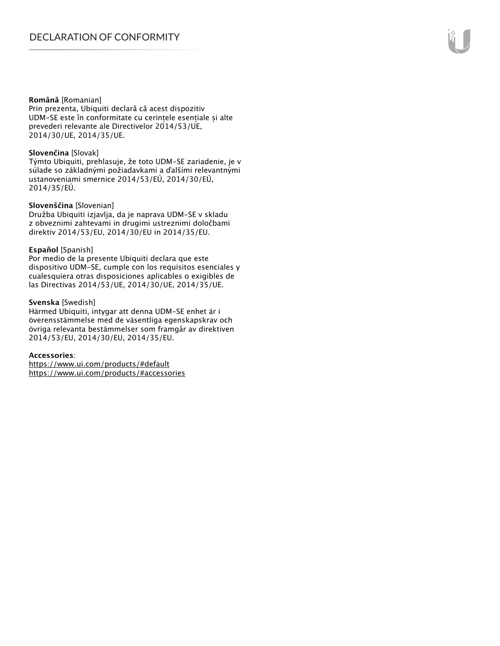#### **Română** [Romanian]

Prin prezenta, Ubiquiti declară că acest dispozitiv UDM-SE este în conformitate cu cerințele esențiale și alte prevederi relevante ale Directivelor 2014/53/UE, 2014/30/UE, 2014/35/UE.

#### **Slovenčina** [Slovak]

Týmto Ubiquiti, prehlasuje, že toto UDM-SE zariadenie, je v súlade so základnými požiadavkami a ďalšími relevantnými ustanoveniami smernice 2014/53/EÚ, 2014/30/EÚ, 2014/35/EÚ.

#### **Slovenščina** [Slovenian]

Družba Ubiquiti izjavlja, da je naprava UDM-SE v skladu z obveznimi zahtevami in drugimi ustreznimi določbami direktiv 2014/53/EU, 2014/30/EU in 2014/35/EU.

#### **Español** [Spanish]

Por medio de la presente Ubiquiti declara que este dispositivo UDM-SE, cumple con los requisitos esenciales y cualesquiera otras disposiciones aplicables o exigibles de las Directivas 2014/53/UE, 2014/30/UE, 2014/35/UE.

#### **Svenska** [Swedish]

Härmed Ubiquiti, intygar att denna UDM-SE enhet är i överensstämmelse med de väsentliga egenskapskrav och övriga relevanta bestämmelser som framgår av direktiven 2014/53/EU, 2014/30/EU, 2014/35/EU.

#### **Accessories**:

https://www.ui.com/products/#default https://www.ui.com/products/#accessories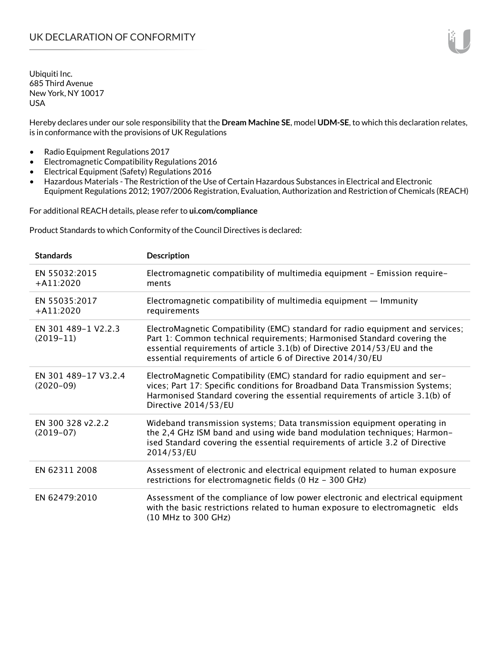Hereby declares under our sole responsibility that the **Dream Machine SE**, model **UDM-SE**, to which this declaration relates, is in conformance with the provisions of UK Regulations

- Radio Equipment Regulations 2017
- Electromagnetic Compatibility Regulations 2016
- Electrical Equipment (Safety) Regulations 2016
- Hazardous Materials The Restriction of the Use of Certain Hazardous Substances in Electrical and Electronic Equipment Regulations 2012; 1907/2006 Registration, Evaluation, Authorization and Restriction of Chemicals (REACH)

For additional REACH details, please refer to **ui.com/compliance**

Product Standards to which Conformity of the Council Directives is declared:

| <b>Standards</b>                    | <b>Description</b>                                                                                                                                                                                                                                                                                   |
|-------------------------------------|------------------------------------------------------------------------------------------------------------------------------------------------------------------------------------------------------------------------------------------------------------------------------------------------------|
| EN 55032:2015<br>$+$ A11:2020       | Electromagnetic compatibility of multimedia equipment - Emission require-<br>ments                                                                                                                                                                                                                   |
| EN 55035:2017<br>$+A11:2020$        | Electromagnetic compatibility of multimedia equipment $-$ Immunity<br>requirements                                                                                                                                                                                                                   |
| EN 301 489-1 V2.2.3<br>$(2019-11)$  | ElectroMagnetic Compatibility (EMC) standard for radio equipment and services;<br>Part 1: Common technical requirements; Harmonised Standard covering the<br>essential requirements of article 3.1(b) of Directive 2014/53/EU and the<br>essential requirements of article 6 of Directive 2014/30/EU |
| EN 301 489-17 V3.2.4<br>$(2020-09)$ | ElectroMagnetic Compatibility (EMC) standard for radio equipment and ser-<br>vices; Part 17: Specific conditions for Broadband Data Transmission Systems;<br>Harmonised Standard covering the essential requirements of article 3.1(b) of<br>Directive 2014/53/EU                                    |
| EN 300 328 v2.2.2<br>$(2019-07)$    | Wideband transmission systems; Data transmission equipment operating in<br>the 2,4 GHz ISM band and using wide band modulation techniques; Harmon-<br>ised Standard covering the essential requirements of article 3.2 of Directive<br>2014/53/EU                                                    |
| EN 62311 2008                       | Assessment of electronic and electrical equipment related to human exposure<br>restrictions for electromagnetic fields (0 Hz - 300 GHz)                                                                                                                                                              |
| EN 62479:2010                       | Assessment of the compliance of low power electronic and electrical equipment<br>with the basic restrictions related to human exposure to electromagnetic elds<br>(10 MHz to 300 GHz)                                                                                                                |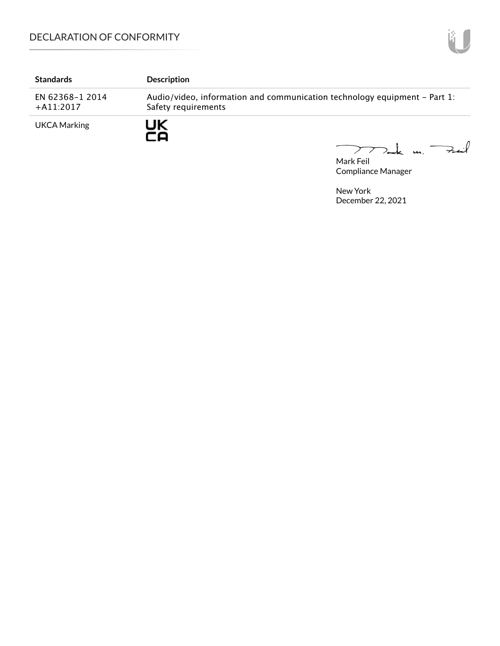| <b>Standards</b>               | <b>Description</b>                                                                               |
|--------------------------------|--------------------------------------------------------------------------------------------------|
| EN 62368-1 2014<br>$+A11:2017$ | Audio/video, information and communication technology equipment - Part 1:<br>Safety requirements |
| <b>UKCA Marking</b>            | UΚ<br>-0                                                                                         |

 $\overline{\phantom{0}}$ mak m. Fail

Mark Feil Compliance Manager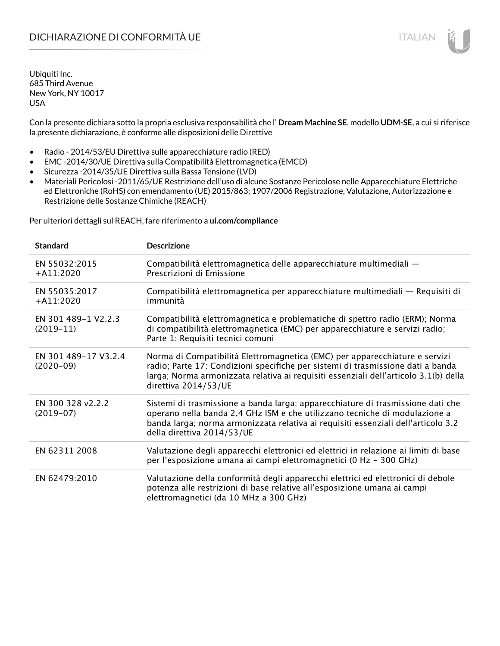Con la presente dichiara sotto la propria esclusiva responsabilità che l' **Dream Machine SE**, modello **UDM-SE**, a cui si riferisce la presente dichiarazione, è conforme alle disposizioni delle Direttive

- Radio 2014/53/EU Direttiva sulle apparecchiature radio (RED)
- EMC -2014/30/UE Direttiva sulla Compatibilità Elettromagnetica (EMCD)
- Sicurezza -2014/35/UE Direttiva sulla Bassa Tensione (LVD)
- Materiali Pericolosi -2011/65/UE Restrizione dell'uso di alcune Sostanze Pericolose nelle Apparecchiature Elettriche ed Elettroniche (RoHS) con emendamento (UE) 2015/863; 1907/2006 Registrazione, Valutazione, Autorizzazione e Restrizione delle Sostanze Chimiche (REACH)

Per ulteriori dettagli sul REACH, fare riferimento a **ui.com/compliance**

| <b>Standard</b>                     | <b>Descrizione</b>                                                                                                                                                                                                                                                               |
|-------------------------------------|----------------------------------------------------------------------------------------------------------------------------------------------------------------------------------------------------------------------------------------------------------------------------------|
| EN 55032:2015<br>$+$ A11:2020       | Compatibilità elettromagnetica delle apparecchiature multimediali -<br>Prescrizioni di Emissione                                                                                                                                                                                 |
| EN 55035:2017<br>$+$ A11:2020       | Compatibilità elettromagnetica per apparecchiature multimediali — Requisiti di<br>immunità                                                                                                                                                                                       |
| EN 301 489-1 V2.2.3<br>$(2019-11)$  | Compatibilità elettromagnetica e problematiche di spettro radio (ERM); Norma<br>di compatibilità elettromagnetica (EMC) per apparecchiature e servizi radio;<br>Parte 1: Requisiti tecnici comuni                                                                                |
| EN 301 489-17 V3.2.4<br>$(2020-09)$ | Norma di Compatibilità Elettromagnetica (EMC) per apparecchiature e servizi<br>radio; Parte 17: Condizioni specifiche per sistemi di trasmissione dati a banda<br>larga; Norma armonizzata relativa ai requisiti essenziali dell'articolo 3.1(b) della<br>direttiva 2014/53/UE   |
| EN 300 328 v2.2.2<br>$(2019-07)$    | Sistemi di trasmissione a banda larga; apparecchiature di trasmissione dati che<br>operano nella banda 2,4 GHz ISM e che utilizzano tecniche di modulazione a<br>banda larga; norma armonizzata relativa ai requisiti essenziali dell'articolo 3.2<br>della direttiva 2014/53/UE |
| EN 62311 2008                       | Valutazione degli apparecchi elettronici ed elettrici in relazione ai limiti di base<br>per l'esposizione umana ai campi elettromagnetici (0 Hz - 300 GHz)                                                                                                                       |
| EN 62479:2010                       | Valutazione della conformità degli apparecchi elettrici ed elettronici di debole<br>potenza alle restrizioni di base relative all'esposizione umana ai campi<br>elettromagnetici (da 10 MHz a 300 GHz)                                                                           |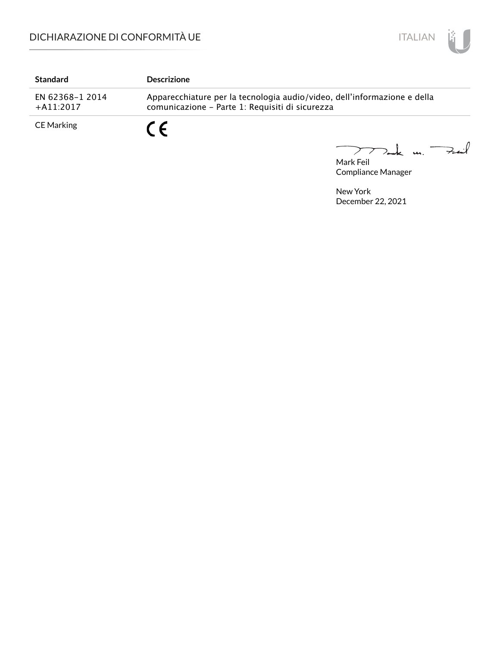

| <b>Standard</b>                 | <b>Descrizione</b>                                                                                                          |
|---------------------------------|-----------------------------------------------------------------------------------------------------------------------------|
| EN 62368-1 2014<br>$+$ A11:2017 | Apparecchiature per la tecnologia audio/video, dell'informazione e della<br>comunicazione - Parte 1: Requisiti di sicurezza |
| <b>CE Marking</b>               | C C                                                                                                                         |

Mark Feil u. <del>Zuil</del>  $\overbrace{\phantom{aaaaa}}$ 

Compliance Manager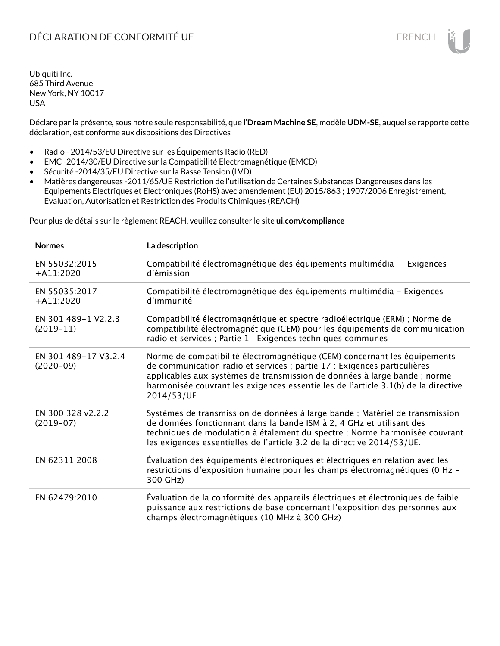Déclare par la présente, sous notre seule responsabilité, que l'**Dream Machine SE**, modèle **UDM-SE**, auquel se rapporte cette déclaration, est conforme aux dispositions des Directives

- Radio 2014/53/EU Directive sur les Équipements Radio (RED)
- EMC -2014/30/EU Directive sur la Compatibilité Electromagnétique (EMCD)
- Sécurité -2014/35/EU Directive sur la Basse Tension (LVD)
- Matières dangereuses -2011/65/UE Restriction de l'utilisation de Certaines Substances Dangereuses dans les Equipements Electriques et Electroniques (RoHS) avec amendement (EU) 2015/863 ; 1907/2006 Enregistrement, Evaluation, Autorisation et Restriction des Produits Chimiques (REACH)

Pour plus de détails sur le règlement REACH, veuillez consulter le site **ui.com/compliance**

| <b>Normes</b>                       | La description                                                                                                                                                                                                                                                                                                                         |
|-------------------------------------|----------------------------------------------------------------------------------------------------------------------------------------------------------------------------------------------------------------------------------------------------------------------------------------------------------------------------------------|
| EN 55032:2015<br>$+A11:2020$        | Compatibilité électromagnétique des équipements multimédia - Exigences<br>d'émission                                                                                                                                                                                                                                                   |
| EN 55035:2017<br>$+A11:2020$        | Compatibilité électromagnétique des équipements multimédia - Exigences<br>d'immunité                                                                                                                                                                                                                                                   |
| EN 301 489-1 V2.2.3<br>$(2019-11)$  | Compatibilité électromagnétique et spectre radioélectrique (ERM) ; Norme de<br>compatibilité électromagnétique (CEM) pour les équipements de communication<br>radio et services ; Partie 1 : Exigences techniques communes                                                                                                             |
| EN 301 489-17 V3.2.4<br>$(2020-09)$ | Norme de compatibilité électromagnétique (CEM) concernant les équipements<br>de communication radio et services ; partie 17 : Exigences particulières<br>applicables aux systèmes de transmission de données à large bande ; norme<br>harmonisée couvrant les exigences essentielles de l'article 3.1(b) de la directive<br>2014/53/UE |
| EN 300 328 v2.2.2<br>$(2019-07)$    | Systèmes de transmission de données à large bande ; Matériel de transmission<br>de données fonctionnant dans la bande ISM à 2, 4 GHz et utilisant des<br>techniques de modulation à étalement du spectre ; Norme harmonisée couvrant<br>les exigences essentielles de l'article 3.2 de la directive 2014/53/UE.                        |
| EN 62311 2008                       | Évaluation des équipements électroniques et électriques en relation avec les<br>restrictions d'exposition humaine pour les champs électromagnétiques (0 Hz -<br>300 GHz)                                                                                                                                                               |
| EN 62479:2010                       | Évaluation de la conformité des appareils électriques et électroniques de faible<br>puissance aux restrictions de base concernant l'exposition des personnes aux<br>champs électromagnétiques (10 MHz à 300 GHz)                                                                                                                       |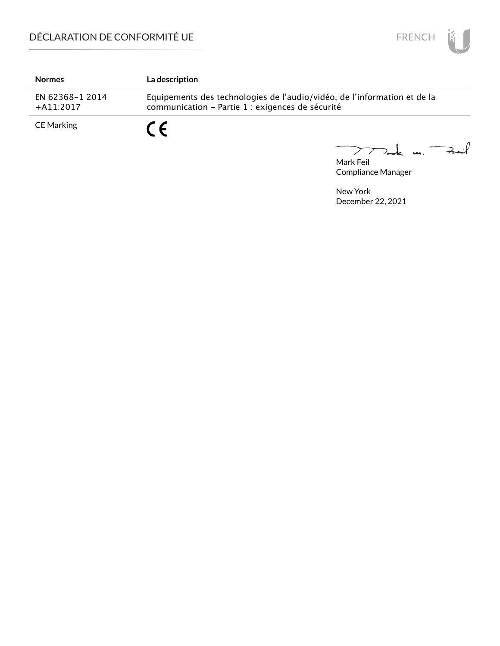

| <b>Normes</b>                   | <b>La description</b>                                                                                                        |
|---------------------------------|------------------------------------------------------------------------------------------------------------------------------|
| EN 62368-1 2014<br>$+$ A11:2017 | Equipements des technologies de l'audio/vidéo, de l'information et de la<br>communication - Partie 1 : exigences de sécurité |
| CE Marking                      | C F                                                                                                                          |

Mark Feil<br>Mark Feil 

Compliance Manager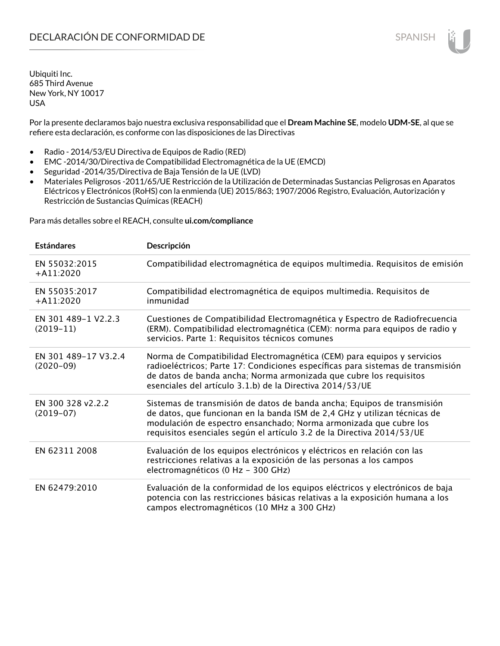Por la presente declaramos bajo nuestra exclusiva responsabilidad que el **Dream Machine SE**, modelo **UDM-SE**, al que se refiere esta declaración, es conforme con las disposiciones de las Directivas

- Radio 2014/53/EU Directiva de Equipos de Radio (RED)
- EMC -2014/30/Directiva de Compatibilidad Electromagnética de la UE (EMCD)
- Seguridad -2014/35/Directiva de Baja Tensión de la UE (LVD)
- Materiales Peligrosos -2011/65/UE Restricción de la Utilización de Determinadas Sustancias Peligrosas en Aparatos Eléctricos y Electrónicos (RoHS) con la enmienda (UE) 2015/863; 1907/2006 Registro, Evaluación, Autorización y Restricción de Sustancias Químicas (REACH)

Para más detalles sobre el REACH, consulte **ui.com/compliance**

| <b>Estándares</b>                   | Descripción                                                                                                                                                                                                                                                                                         |
|-------------------------------------|-----------------------------------------------------------------------------------------------------------------------------------------------------------------------------------------------------------------------------------------------------------------------------------------------------|
| EN 55032:2015<br>$+$ A11:2020       | Compatibilidad electromagnética de equipos multimedia. Requisitos de emisión                                                                                                                                                                                                                        |
| EN 55035:2017<br>$+A11:2020$        | Compatibilidad electromagnética de equipos multimedia. Requisitos de<br>inmunidad                                                                                                                                                                                                                   |
| EN 301 489-1 V2.2.3<br>$(2019-11)$  | Cuestiones de Compatibilidad Electromagnética y Espectro de Radiofrecuencia<br>(ERM). Compatibilidad electromagnética (CEM): norma para equipos de radio y<br>servicios. Parte 1: Requisitos técnicos comunes                                                                                       |
| EN 301 489-17 V3.2.4<br>$(2020-09)$ | Norma de Compatibilidad Electromagnética (CEM) para equipos y servicios<br>radioeléctricos; Parte 17: Condiciones específicas para sistemas de transmisión<br>de datos de banda ancha; Norma armonizada que cubre los requisitos<br>esenciales del artículo 3.1.b) de la Directiva 2014/53/UE       |
| EN 300 328 v2.2.2<br>$(2019-07)$    | Sistemas de transmisión de datos de banda ancha; Equipos de transmisión<br>de datos, que funcionan en la banda ISM de 2,4 GHz y utilizan técnicas de<br>modulación de espectro ensanchado; Norma armonizada que cubre los<br>requisitos esenciales según el artículo 3.2 de la Directiva 2014/53/UE |
| EN 62311 2008                       | Evaluación de los equipos electrónicos y eléctricos en relación con las<br>restricciones relativas a la exposición de las personas a los campos<br>electromagnéticos (0 Hz - 300 GHz)                                                                                                               |
| EN 62479:2010                       | Evaluación de la conformidad de los equipos eléctricos y electrónicos de baja<br>potencia con las restricciones básicas relativas a la exposición humana a los<br>campos electromagnéticos (10 MHz a 300 GHz)                                                                                       |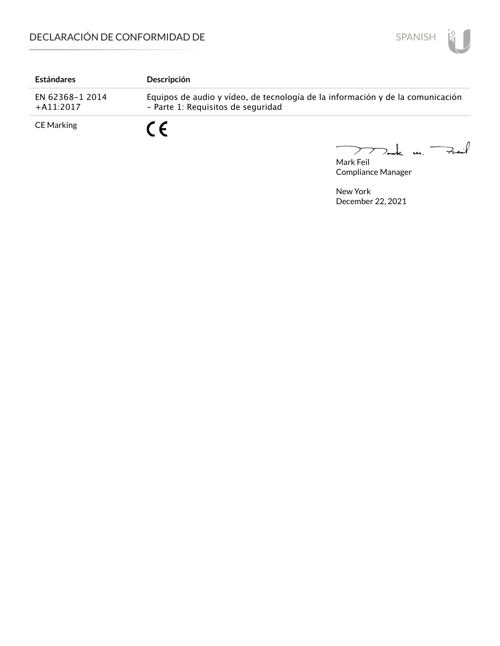

| <b>Estándares</b>               | Descripción                                                                                                          |
|---------------------------------|----------------------------------------------------------------------------------------------------------------------|
| EN 62368-1 2014<br>$+$ A11:2017 | Equipos de audio y vídeo, de tecnología de la información y de la comunicación<br>- Parte 1: Requisitos de seguridad |
| <b>CE Marking</b>               | $\epsilon$                                                                                                           |

Mark Feil u. <del>Zuil</del>  $\overbrace{\phantom{aaaaa}}^{x}$ 

Compliance Manager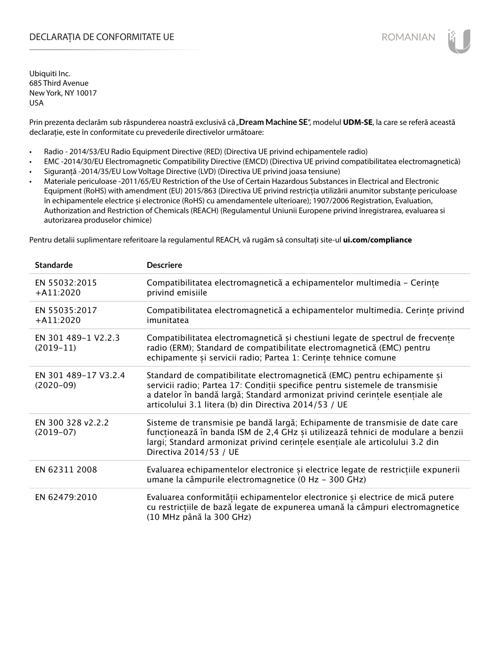# DECLARAȚIA DE CONFORMITATE UE EXECUTE DE ROMANIAN

Ubiquiti Inc. 685 Third Avenue New York, NY 10017 USA

Prin prezenta declarăm sub răspunderea noastră exclusivă că "**Dream Machine SE**", modelul **UDM-SE**, la care se referă această declarație, este în conformitate cu prevederile directivelor următoare:

- Radio 2014/53/EU Radio Equipment Directive (RED) (Directiva UE privind echipamentele radio)
- EMC -2014/30/EU Electromagnetic Compatibility Directive (EMCD) (Directiva UE privind compatibilitatea electromagnetică)
- Siguranță -2014/35/EU Low Voltage Directive (LVD) (Directiva UE privind joasa tensiune)
- Materiale periculoase -2011/65/EU Restriction of the Use of Certain Hazardous Substances in Electrical and Electronic Equipment (RoHS) with amendment (EU) 2015/863 (Directiva UE privind restricția utilizării anumitor substanțe periculoase în echipamentele electrice și electronice (RoHS) cu amendamentele ulterioare); 1907/2006 Registration, Evaluation, Authorization and Restriction of Chemicals (REACH) (Regulamentul Uniunii Europene privind înregistrarea, evaluarea si autorizarea produselor chimice)

Pentru detalii suplimentare referitoare la regulamentul REACH, vă rugăm să consultați site-ul **ui.com/compliance**

| <b>Standarde</b>                    | <b>Descriere</b>                                                                                                                                                                                                                                                                                  |
|-------------------------------------|---------------------------------------------------------------------------------------------------------------------------------------------------------------------------------------------------------------------------------------------------------------------------------------------------|
| EN 55032:2015<br>$+$ A11:2020       | Compatibilitatea electromagnetică a echipamentelor multimedia - Cerinte<br>privind emisiile                                                                                                                                                                                                       |
| EN 55035:2017<br>$+A11:2020$        | Compatibilitatea electromagnetică a echipamentelor multimedia. Cerințe privind<br>imunitatea                                                                                                                                                                                                      |
| EN 301 489-1 V2.2.3<br>$(2019-11)$  | Compatibilitatea electromagnetică și chestiuni legate de spectrul de frecvențe<br>radio (ERM); Standard de compatibilitate electromagnetică (EMC) pentru<br>echipamente și servicii radio; Partea 1: Cerințe tehnice comune                                                                       |
| EN 301 489-17 V3.2.4<br>$(2020-09)$ | Standard de compatibilitate electromagnetică (EMC) pentru echipamente și<br>servicii radio; Partea 17: Conditii specifice pentru sistemele de transmisie<br>a datelor în bandă largă; Standard armonizat privind cerințele esențiale ale<br>articolului 3.1 litera (b) din Directiva 2014/53 / UE |
| EN 300 328 v2.2.2<br>$(2019-07)$    | Sisteme de transmisie pe bandă largă; Echipamente de transmisie de date care<br>funcționează în banda ISM de 2,4 GHz și utilizează tehnici de modulare a benzii<br>largi; Standard armonizat privind cerințele esențiale ale articolului 3.2 din<br>Directiva 2014/53 / UE                        |
| EN 62311 2008                       | Evaluarea echipamentelor electronice și electrice legate de restricțiile expunerii<br>umane la câmpurile electromagnetice (0 Hz - 300 GHz)                                                                                                                                                        |
| EN 62479:2010                       | Evaluarea conformității echipamentelor electronice și electrice de mică putere<br>cu restricțiile de bază legate de expunerea umană la câmpuri electromagnetice<br>(10 MHz până la 300 GHz)                                                                                                       |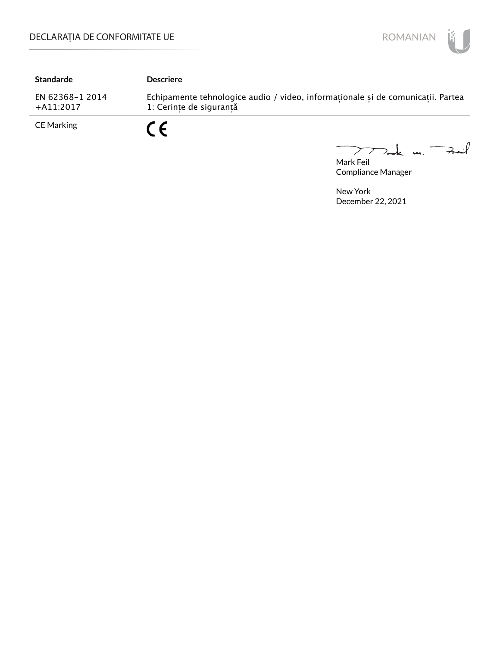

| <b>Standarde</b>               | <b>Descriere</b>                                                                                           |
|--------------------------------|------------------------------------------------------------------------------------------------------------|
| EN 62368-1 2014<br>$+A11:2017$ | Echipamente tehnologice audio / video, informaționale și de comunicații. Partea<br>1: Cerințe de siguranță |
| <b>CE Marking</b>              | $\epsilon$                                                                                                 |

Mark Feil u. <del>Zuil</del>  $\overbrace{\phantom{aaaaa}}^{x}$ 

Compliance Manager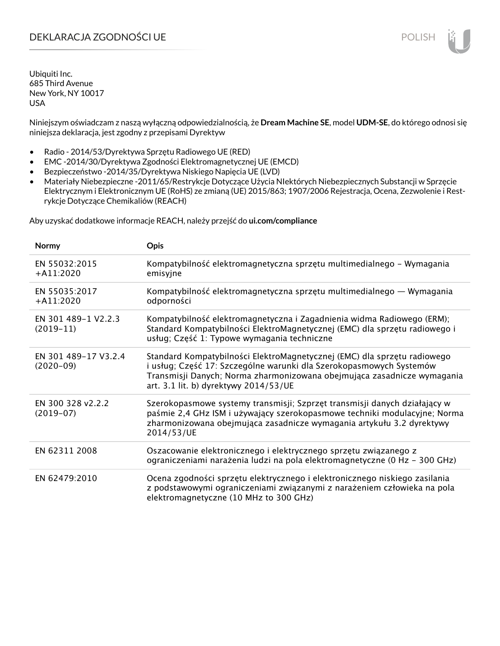# DEKLARACJA ZGODNOŚCI UE POLISH POLISH

Ubiquiti Inc. 685 Third Avenue New York, NY 10017 USA

Niniejszym oświadczam z naszą wyłączną odpowiedzialnością, że **Dream Machine SE**, model **UDM-SE**, do którego odnosi się niniejsza deklaracja, jest zgodny z przepisami Dyrektyw

- Radio 2014/53/Dyrektywa Sprzętu Radiowego UE (RED)
- EMC -2014/30/Dyrektywa Zgodności Elektromagnetycznej UE (EMCD)
- Bezpieczeństwo -2014/35/Dyrektywa Niskiego Napięcia UE (LVD)
- Materiały Niebezpieczne -2011/65/Restrykcje Dotyczące Użycia NIektórych Niebezpiecznych Substancji w Sprzęcie Elektrycznym i Elektronicznym UE (RoHS) ze zmianą (UE) 2015/863; 1907/2006 Rejestracja, Ocena, Zezwolenie i Restrykcje Dotyczące Chemikaliów (REACH)

Aby uzyskać dodatkowe informacje REACH, należy przejść do **ui.com/compliance**

| Normy                               | <b>Opis</b>                                                                                                                                                                                                                                                         |
|-------------------------------------|---------------------------------------------------------------------------------------------------------------------------------------------------------------------------------------------------------------------------------------------------------------------|
| EN 55032:2015<br>$+$ A11:2020       | Kompatybilność elektromagnetyczna sprzętu multimedialnego – Wymagania<br>emisyjne                                                                                                                                                                                   |
| EN 55035:2017<br>$+A11:2020$        | Kompatybilność elektromagnetyczna sprzętu multimedialnego — Wymagania<br>odporności                                                                                                                                                                                 |
| EN 301 489-1 V2.2.3<br>$(2019-11)$  | Kompatybilność elektromagnetyczna i Zagadnienia widma Radiowego (ERM);<br>Standard Kompatybilności ElektroMagnetycznej (EMC) dla sprzętu radiowego i<br>usług; Część 1: Typowe wymagania techniczne                                                                 |
| EN 301 489-17 V3.2.4<br>$(2020-09)$ | Standard Kompatybilności ElektroMagnetycznej (EMC) dla sprzętu radiowego<br>i usług; Część 17: Szczególne warunki dla Szerokopasmowych Systemów<br>Transmisji Danych; Norma zharmonizowana obejmująca zasadnicze wymagania<br>art. 3.1 lit. b) dyrektywy 2014/53/UE |
| EN 300 328 v2.2.2<br>$(2019-07)$    | Szerokopasmowe systemy transmisji; Szprzęt transmisji danych działający w<br>paśmie 2,4 GHz ISM i używający szerokopasmowe techniki modulacyjne; Norma<br>zharmonizowana obejmująca zasadnicze wymagania artykułu 3.2 dyrektywy<br>2014/53/UE                       |
| EN 62311 2008                       | Oszacowanie elektronicznego i elektrycznego sprzętu związanego z<br>ograniczeniami narażenia ludzi na pola elektromagnetyczne (0 Hz - 300 GHz)                                                                                                                      |
| EN 62479:2010                       | Ocena zgodności sprzętu elektrycznego i elektronicznego niskiego zasilania<br>z podstawowymi ograniczeniami związanymi z narażeniem człowieka na pola<br>elektromagnetyczne (10 MHz to 300 GHz)                                                                     |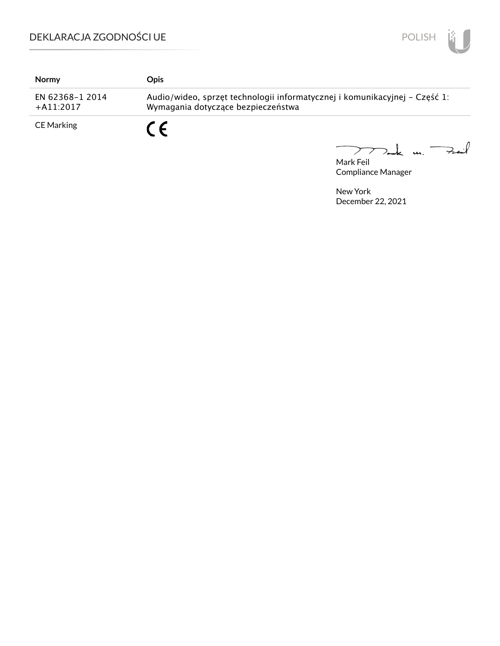

| <b>Normy</b>                   | Opis                                                                                                             |
|--------------------------------|------------------------------------------------------------------------------------------------------------------|
| EN 62368-1 2014<br>$+A11:2017$ | Audio/wideo, sprzęt technologii informatycznej i komunikacyjnej – Część 1:<br>Wymagania dotyczące bezpieczeństwa |
| <b>CE Marking</b>              | $\epsilon$                                                                                                       |

mak m. Fail  $\overbrace{\phantom{aaaaa}}$ 

Mark Feil Compliance Manager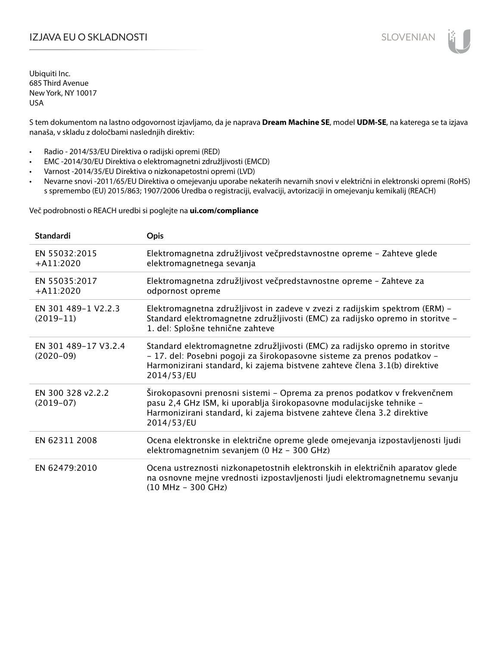# IZJAVA EU O SKLADNOSTI SLOVENIAN

Ubiquiti Inc. 685 Third Avenue New York, NY 10017 USA

S tem dokumentom na lastno odgovornost izjavljamo, da je naprava **Dream Machine SE**, model **UDM-SE**, na katerega se ta izjava nanaša, v skladu z določbami naslednjih direktiv:

- Radio 2014/53/EU Direktiva o radijski opremi (RED)
- EMC -2014/30/EU Direktiva o elektromagnetni združljivosti (EMCD)
- Varnost -2014/35/EU Direktiva o nizkonapetostni opremi (LVD)
- Nevarne snovi -2011/65/EU Direktiva o omejevanju uporabe nekaterih nevarnih snovi v električni in elektronski opremi (RoHS) s spremembo (EU) 2015/863; 1907/2006 Uredba o registraciji, evalvaciji, avtorizaciji in omejevanju kemikalij (REACH)

Več podrobnosti o REACH uredbi si poglejte na **ui.com/compliance**

| <b>Standardi</b>                    | <b>Opis</b>                                                                                                                                                                                                                                       |
|-------------------------------------|---------------------------------------------------------------------------------------------------------------------------------------------------------------------------------------------------------------------------------------------------|
| EN 55032:2015<br>$+$ A11:2020       | Elektromagnetna združljivost večpredstavnostne opreme - Zahteve glede<br>elektromagnetnega sevanja                                                                                                                                                |
| EN 55035:2017<br>$+$ A11:2020       | Elektromagnetna združljivost večpredstavnostne opreme - Zahteve za<br>odpornost opreme                                                                                                                                                            |
| EN 301 489-1 V2.2.3<br>$(2019-11)$  | Elektromagnetna združljivost in zadeve v zvezi z radijskim spektrom (ERM) -<br>Standard elektromagnetne združljivosti (EMC) za radijsko opremo in storitve -<br>1. del: Splošne tehnične zahteve                                                  |
| EN 301 489-17 V3.2.4<br>$(2020-09)$ | Standard elektromagnetne združljivosti (EMC) za radijsko opremo in storitve<br>- 17. del: Posebni pogoji za širokopasovne sisteme za prenos podatkov -<br>Harmonizirani standard, ki zajema bistvene zahteve člena 3.1(b) direktive<br>2014/53/EU |
| EN 300 328 v2.2.2<br>$(2019-07)$    | Širokopasovni prenosni sistemi – Oprema za prenos podatkov v frekvenčnem<br>pasu 2,4 GHz ISM, ki uporablja širokopasovne modulacijske tehnike -<br>Harmonizirani standard, ki zajema bistvene zahteve člena 3.2 direktive<br>2014/53/EU           |
| EN 62311 2008                       | Ocena elektronske in električne opreme glede omejevanja izpostavljenosti ljudi<br>elektromagnetnim sevanjem (0 Hz - 300 GHz)                                                                                                                      |
| EN 62479:2010                       | Ocena ustreznosti nizkonapetostnih elektronskih in električnih aparatov glede<br>na osnovne mejne vrednosti izpostavljenosti ljudi elektromagnetnemu sevanju<br>$(10 MHz - 300 GHz)$                                                              |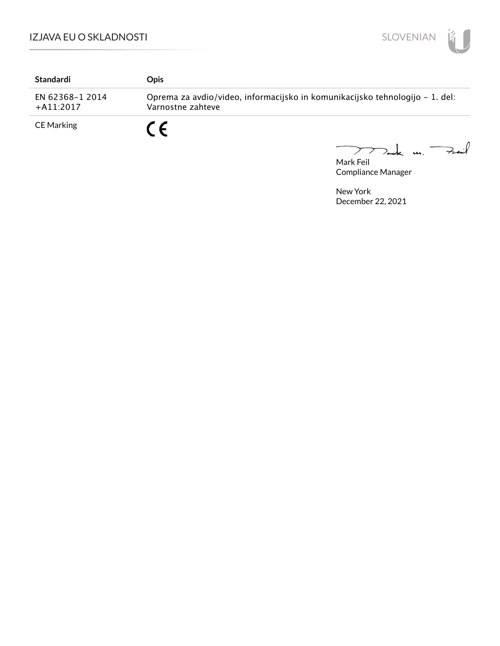

| Standardi                       | <b>Opis</b>                                                                                       |           |
|---------------------------------|---------------------------------------------------------------------------------------------------|-----------|
| EN 62368-1 2014<br>$+$ A11:2017 | Oprema za avdio/video, informacijsko in komunikacijsko tehnologijo – 1. del:<br>Varnostne zahteve |           |
| <b>CE Marking</b>               | C E                                                                                               | $\Lambda$ |

mak m. Fail  $\overline{\phantom{m}}$ 

Mark Feil Compliance Manager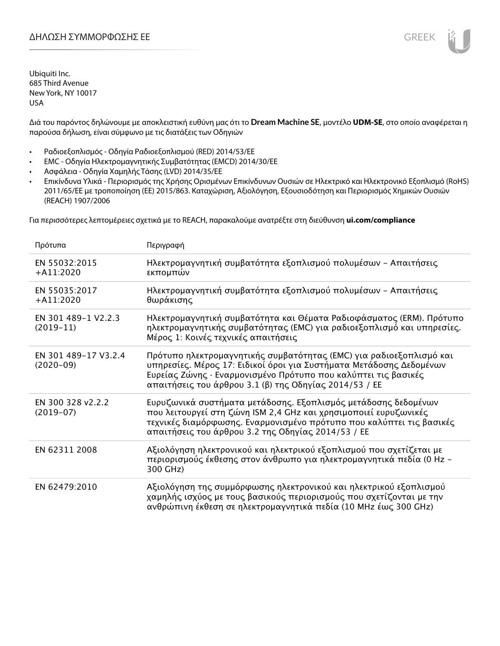Διά του παρόντος δηλώνουμε με αποκλειστική ευθύνη μας ότι το **Dream Machine SE**, μοντέλο **UDM-SE**, στο οποίο αναφέρεται η παρούσα δήλωση, είναι σύμφωνο με τις διατάξεις των Οδηγιών

- Ραδιοεξοπλισμός Οδηγία Ραδιοεξοπλισμού (RED) 2014/53/ΕΕ
- EMC Οδηγία Ηλεκτρομαγνητικής Συμβατότητας (EMCD) 2014/30/ΕΕ
- Ασφάλεια Οδηγία Χαμηλής Τάσης (LVD) 2014/35/ΕΕ
- Επικίνδυνα Υλικά Περιορισμός της Χρήσης Ορισμένων Επικίνδυνων Ουσιών σε Ηλεκτρικό και Ηλεκτρονικό Εξοπλισμό (RoHS) 2011/65/ΕΕ με τροποποίηση (ΕΕ) 2015/863. Καταχώριση, Αξιολόγηση, Εξουσιοδότηση και Περιορισμός Χημικών Ουσιών (REACH) 1907/2006

Για περισσότερες λεπτομέρειες σχετικά με το REACH, παρακαλούμε ανατρέξτε στη διεύθυνση **ui.com/compliance**

| Πρότυπα                             | Περιγραφή                                                                                                                                                                                                                                                              |
|-------------------------------------|------------------------------------------------------------------------------------------------------------------------------------------------------------------------------------------------------------------------------------------------------------------------|
| EN 55032:2015<br>$+A11:2020$        | Ηλεκτρομαγνητική συμβατότητα εξοπλισμού πολυμέσων - Απαιτήσεις<br>εκπομπών                                                                                                                                                                                             |
| EN 55035:2017<br>$+$ A11:2020       | Ηλεκτρομαγνητική συμβατότητα εξοπλισμού πολυμέσων - Απαιτήσεις<br>θωράκισης                                                                                                                                                                                            |
| EN 301 489-1 V2.2.3<br>$(2019-11)$  | Ηλεκτρομαγνητική συμβατότητα και Θέματα Ραδιοφάσματος (ERM). Πρότυπο<br>ηλεκτρομαγνητικής συμβατότητας (EMC) για ραδιοεξοπλισμό και υπηρεσίες.<br>Μέρος 1: Κοινές τεχνικές απαιτήσεις                                                                                  |
| EN 301 489-17 V3.2.4<br>$(2020-09)$ | Πρότυπο ηλεκτρομαγνητικής συμβατότητας (ΕΜC) για ραδιοεξοπλισμό και<br>υπηρεσίες. Μέρος 17: Ειδικοί όροι για Συστήματα Μετάδοσης Δεδομένων<br>Ευρείας Ζώνης · Εναρμονισμένο Πρότυπο που καλύπτει τις βασικές<br>απαιτήσεις του άρθρου 3.1 (β) της Οδηγίας 2014/53 / ΕΕ |
| EN 300 328 v2.2.2<br>$(2019-07)$    | Ευρυζωνικά συστήματα μετάδοσης. Εξοπλισμός μετάδοσης δεδομένων<br>που λειτουργεί στη ζώνη ISM 2,4 GHz και χρησιμοποιεί ευρυζωνικές<br>τεχνικές διαμόρφωσης. Εναρμονισμένο πρότυπο που καλύπτει τις βασικές<br>απαιτήσεις του άρθρου 3.2 της Οδηγίας 2014/53 / ΕΕ       |
| EN 62311 2008                       | Αξιολόγηση ηλεκτρονικού και ηλεκτρικού εξοπλισμού που σχετίζεται με<br>περιορισμούς έκθεσης στον άνθρωπο για ηλεκτρομαγνητικά πεδία (0 Hz -<br>300 GHz)                                                                                                                |
| EN 62479:2010                       | Αξιολόγηση της συμμόρφωσης ηλεκτρονικού και ηλεκτρικού εξοπλισμού<br>χαμηλής ισχύος με τους βασικούς περιορισμούς που σχετίζονται με την<br>ανθρώπινη έκθεση σε ηλεκτρομαγνητικά πεδία (10 MHz έως 300 GHz)                                                            |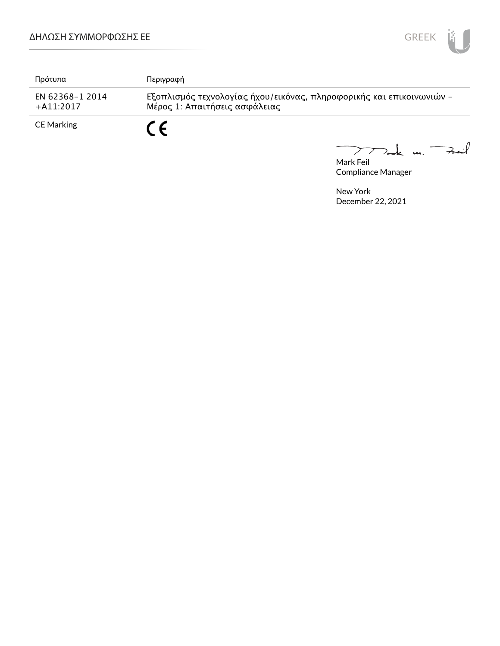

| Πρότυπα                         | Περιγραφή                                                                                             |
|---------------------------------|-------------------------------------------------------------------------------------------------------|
| EN 62368-1 2014<br>$+$ A11:2017 | Εξοπλισμός τεχνολογίας ήχου/εικόνας, πληροφορικής και επικοινωνιών -<br>Μέρος 1: Απαιτήσεις ασφάλειας |
| CE Marking                      | C C                                                                                                   |

Mark Feil<br>Mark Feil  $\overbrace{\phantom{aaaaa}}$ 

Compliance Manager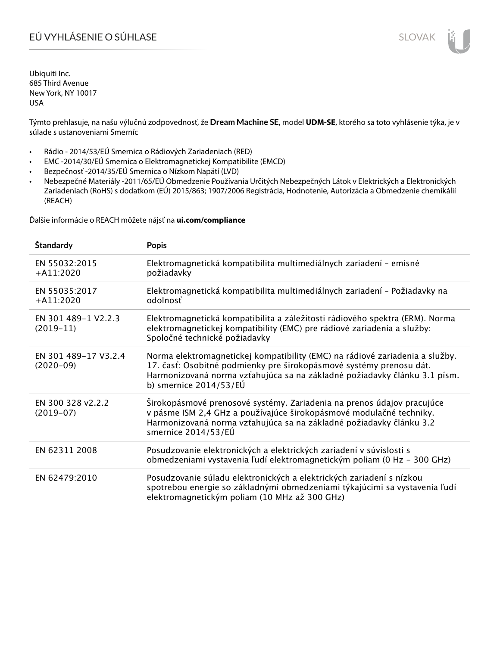# EÚ VYHLÁSENIE O SÚHLASE SLOVAK SLOVAK

Ubiquiti Inc. 685 Third Avenue New York, NY 10017 USA

Týmto prehlasuje, na našu výlučnú zodpovednosť, že **Dream Machine SE**, model **UDM-SE**, ktorého sa toto vyhlásenie týka, je v súlade s ustanoveniami Smerníc

- Rádio 2014/53/EÚ Smernica o Rádiových Zariadeniach (RED)
- EMC -2014/30/EÚ Smernica o Elektromagnetickej Kompatibilite (EMCD)
- Bezpečnosť -2014/35/EÚ Smernica o Nízkom Napätí (LVD)
- Nebezpečné Materiály -2011/65/EÚ Obmedzenie Používania Určitých Nebezpečných Látok v Elektrických a Elektronických Zariadeniach (RoHS) s dodatkom (EÚ) 2015/863; 1907/2006 Registrácia, Hodnotenie, Autorizácia a Obmedzenie chemikálií (REACH)

Ďalšie informácie o REACH môžete nájsť na **ui.com/compliance**

| Štandardy                           | <b>Popis</b>                                                                                                                                                                                                                                                 |
|-------------------------------------|--------------------------------------------------------------------------------------------------------------------------------------------------------------------------------------------------------------------------------------------------------------|
| EN 55032:2015<br>$+$ A11:2020       | Elektromagnetická kompatibilita multimediálnych zariadení - emisné<br>požiadavky                                                                                                                                                                             |
| EN 55035:2017<br>$+A11:2020$        | Elektromagnetická kompatibilita multimediálnych zariadení - Požiadavky na<br>odolnosť                                                                                                                                                                        |
| EN 301 489-1 V2.2.3<br>$(2019-11)$  | Elektromagnetická kompatibilita a záležitosti rádiového spektra (ERM). Norma<br>elektromagnetickej kompatibility (EMC) pre rádiové zariadenia a služby:<br>Spoločné technické požiadavky                                                                     |
| EN 301 489-17 V3.2.4<br>$(2020-09)$ | Norma elektromagnetickej kompatibility (EMC) na rádiové zariadenia a služby.<br>17. časť: Osobitné podmienky pre širokopásmové systémy prenosu dát.<br>Harmonizovaná norma vzťahujúca sa na základné požiadavky článku 3.1 písm.<br>b) smernice $2014/53/EU$ |
| EN 300 328 v2.2.2<br>$(2019-07)$    | Širokopásmové prenosové systémy. Zariadenia na prenos údajov pracujúce<br>v pásme ISM 2,4 GHz a používajúce širokopásmové modulačné techniky.<br>Harmonizovaná norma vzťahujúca sa na základné požiadavky článku 3.2<br>smernice 2014/53/EÚ                  |
| EN 62311 2008                       | Posudzovanie elektronických a elektrických zariadení v súvislosti s<br>obmedzeniami vystavenia ľudí elektromagnetickým poliam (0 Hz - 300 GHz)                                                                                                               |
| EN 62479:2010                       | Posudzovanie súladu elektronických a elektrických zariadení s nízkou<br>spotrebou energie so základnými obmedzeniami týkajúcimi sa vystavenia ľudí<br>elektromagnetickým poliam (10 MHz až 300 GHz)                                                          |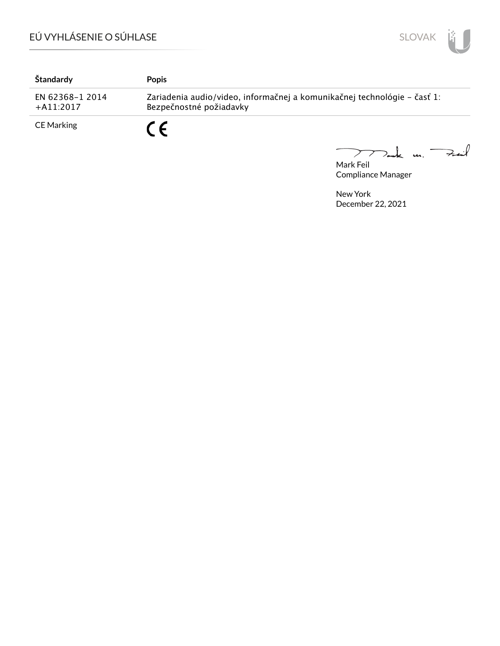

| Štandardy                      | <b>Popis</b>                                                                                        |
|--------------------------------|-----------------------------------------------------------------------------------------------------|
| EN 62368-1 2014<br>$+A11:2017$ | Zariadenia audio/video, informačnej a komunikačnej technológie – časť 1:<br>Bezpečnostné požiadavky |
| CE Marking                     | C C                                                                                                 |

Mark Feil<br>Mark Feil

Compliance Manager

 $\overline{\phantom{0}}$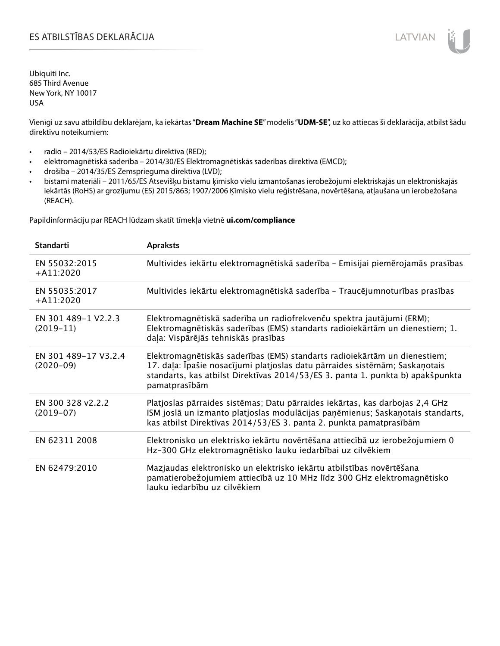# ES ATBILSTĪBAS DEKLARĀCIJA LATVIAN

Ubiquiti Inc. 685 Third Avenue New York, NY 10017 USA

Vienīgi uz savu atbildību deklarējam, ka iekārtas "**Dream Machine SE**" modelis "**UDM-SE**", uz ko attiecas šī deklarācija, atbilst šādu direktīvu noteikumiem:

- radio 2014/53/ES Radioiekārtu direktīva (RED);
- elektromagnētiskā saderība 2014/30/ES Elektromagnētiskās saderības direktīva (EMCD);
- drošība 2014/35/ES Zemsprieguma direktīva (LVD);
- bīstami materiāli 2011/65/ES Atsevišķu bīstamu ķīmisko vielu izmantošanas ierobežojumi elektriskajās un elektroniskajās iekārtās (RoHS) ar grozījumu (ES) 2015/863; 1907/2006 Ķīmisko vielu reģistrēšana, novērtēšana, atļaušana un ierobežošana (REACH).

Papildinformāciju par REACH lūdzam skatīt tīmekļa vietnē **ui.com/compliance**

| <b>Standarti</b>                    | <b>Apraksts</b>                                                                                                                                                                                                                                             |
|-------------------------------------|-------------------------------------------------------------------------------------------------------------------------------------------------------------------------------------------------------------------------------------------------------------|
| EN 55032:2015<br>$+A11:2020$        | Multivides iekārtu elektromagnētiskā saderība - Emisijai piemērojamās prasības                                                                                                                                                                              |
| EN 55035:2017<br>$+A11:2020$        | Multivides iekārtu elektromagnētiskā saderība - Traucējumnoturības prasības                                                                                                                                                                                 |
| EN 301 489-1 V2.2.3<br>$(2019-11)$  | Elektromagnētiskā saderība un radiofrekvenču spektra jautājumi (ERM);<br>Elektromagnētiskās saderības (EMS) standarts radioiekārtām un dienestiem; 1.<br>daļa: Vispārējās tehniskās prasības                                                                |
| EN 301 489-17 V3.2.4<br>$(2020-09)$ | Elektromagnētiskās saderības (EMS) standarts radioiekārtām un dienestiem;<br>17. daļa: Īpašie nosacījumi platjoslas datu pārraides sistēmām; Saskaņotais<br>standarts, kas atbilst Direktīvas 2014/53/ES 3. panta 1. punkta b) apakšpunkta<br>pamatprasībām |
| EN 300 328 v2.2.2<br>$(2019-07)$    | Platjoslas pārraides sistēmas; Datu pārraides iekārtas, kas darbojas 2,4 GHz<br>ISM joslā un izmanto platjoslas modulācijas paņēmienus; Saskaņotais standarts,<br>kas atbilst Direktīvas 2014/53/ES 3. panta 2. punkta pamatprasībām                        |
| EN 62311 2008                       | Elektronisko un elektrisko iekārtu novērtēšana attiecībā uz ierobežojumiem 0<br>Hz-300 GHz elektromagnētisko lauku iedarbībai uz cilvēkiem                                                                                                                  |
| EN 62479:2010                       | Mazjaudas elektronisko un elektrisko iekārtu atbilstības novērtēšana<br>pamatierobežojumiem attiecībā uz 10 MHz līdz 300 GHz elektromagnētisko<br>lauku jedarbību uz cilvēkiem                                                                              |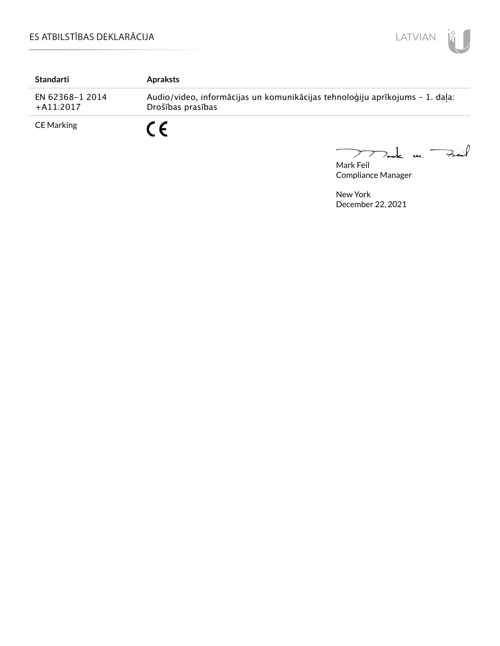

| Standarti                       | <b>Apraksts</b>                                                                                   |
|---------------------------------|---------------------------------------------------------------------------------------------------|
| EN 62368-1 2014<br>$+$ A11:2017 | Audio/video, informācijas un komunikācijas tehnoloģiju aprīkojums - 1. daļa:<br>Drošības prasības |
| <b>CE Marking</b>               | $\epsilon$                                                                                        |

Mark Feil<br>Mark Feil  $\overline{\phantom{0}}$ 

Compliance Manager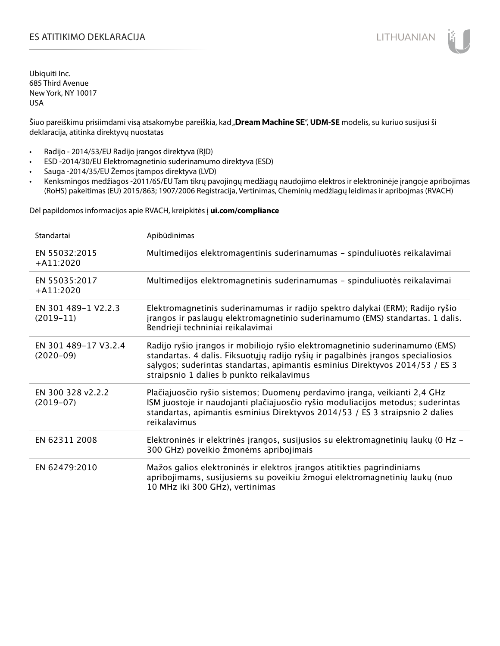# ES ATITIKIMO DEKLARACIJA NA SATITIKIMO DEKLARACIJA NA SATITIKIMO DEKLARACIJA NA SATITIKIMO DE KLARACIJA NA SATI

Ubiquiti Inc. 685 Third Avenue New York, NY 10017 USA

Šiuo pareiškimu prisiimdami visą atsakomybe pareiškia, kad "**Dream Machine SE", UDM-SE** modelis, su kuriuo susijusi ši deklaracija, atitinka direktyvų nuostatas

- Radijo 2014/53/EU Radijo įrangos direktyva (RĮD)
- ESD -2014/30/EU Elektromagnetinio suderinamumo direktyva (ESD)
- Sauga -2014/35/EU Žemos įtampos direktyva (LVD)
- Kenksmingos medžiagos -2011/65/EU Tam tikrų pavojingų medžiagų naudojimo elektros ir elektroninėje įrangoje apribojimas (RoHS) pakeitimas (EU) 2015/863; 1907/2006 Registracija, Vertinimas, Cheminių medžiagų leidimas ir apribojmas (RVACH)

Dėl papildomos informacijos apie RVACH, kreipkitės į **ui.com/compliance**

| Standartai                          | Apibūdinimas                                                                                                                                                                                                                                                                                  |
|-------------------------------------|-----------------------------------------------------------------------------------------------------------------------------------------------------------------------------------------------------------------------------------------------------------------------------------------------|
| EN 55032:2015<br>$+$ A11:2020       | Multimedijos elektromagentinis suderinamumas - spinduliuotės reikalavimai                                                                                                                                                                                                                     |
| EN 55035:2017<br>$+ A11:2020$       | Multimedijos elektromagnetinis suderinamumas - spinduliuotės reikalavimai                                                                                                                                                                                                                     |
| EN 301 489-1 V2.2.3<br>$(2019-11)$  | Elektromagnetinis suderinamumas ir radijo spektro dalykai (ERM); Radijo ryšio<br>įrangos ir paslaugų elektromagnetinio suderinamumo (EMS) standartas. 1 dalis.<br>Bendrieji techniniai reikalavimai                                                                                           |
| EN 301 489-17 V3.2.4<br>$(2020-09)$ | Radijo ryšio įrangos ir mobiliojo ryšio elektromagnetinio suderinamumo (EMS)<br>standartas. 4 dalis. Fiksuotųjų radijo ryšių ir pagalbinės įrangos specialiosios<br>salygos; suderintas standartas, apimantis esminius Direktyvos 2014/53 / ES 3<br>straipsnio 1 dalies b punkto reikalavimus |
| EN 300 328 v2.2.2<br>$(2019-07)$    | Plačiajuosčio ryšio sistemos; Duomenų perdavimo įranga, veikianti 2,4 GHz<br>ISM juostoje ir naudojanti plačiajuosčio ryšio moduliacijos metodus; suderintas<br>standartas, apimantis esminius Direktyvos 2014/53 / ES 3 straipsnio 2 dalies<br>reikalavimus                                  |
| EN 62311 2008                       | Elektroninės ir elektrinės įrangos, susijusios su elektromagnetinių laukų (0 Hz -<br>300 GHz) poveikio žmonėms apribojimais                                                                                                                                                                   |
| EN 62479:2010                       | Mažos galios elektroninės ir elektros įrangos atitikties pagrindiniams<br>apribojimams, susijusiems su poveikiu žmogui elektromagnetinių laukų (nuo<br>10 MHz iki 300 GHz), vertinimas                                                                                                        |